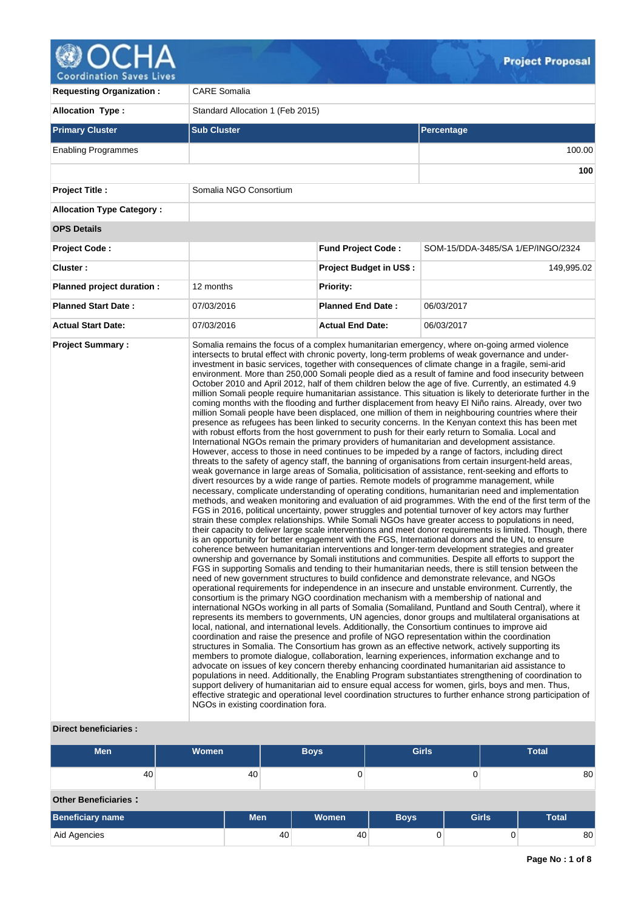# **Coordination Saves Lives**

**Requesting Organization :** CARE Somalia **Allocation Type :** Standard Allocation 1 (Feb 2015) **Primary Cluster Sub Cluster Sub Cluster** Sub Cluster Sub Cluster Sub Cluster Sub Cluster Sub Cluster Sub Cluster Enabling Programmes 100.00 **100 Project Title :** Somalia NGO Consortium **Allocation Type Category : OPS Details Project Code : Fund Project Code :** SOM-15/DDA-3485/SA 1/EP/INGO/2324 **Cluster : Project Budget in US\$ :** 149,995.02 **Planned project duration :** 12 months **Planned Priority: Planned Start Date :** 07/03/2016 **Planned End Date :** 06/03/2017 **Actual Start Date:** 07/03/2016 **Actual End Date:** 06/03/2017 **Project Summary :** Somalia remains the focus of a complex humanitarian emergency, where on-going armed violence intersects to brutal effect with chronic poverty, long-term problems of weak governance and underinvestment in basic services, together with consequences of climate change in a fragile, semi-arid environment. More than 250,000 Somali people died as a result of famine and food insecurity between October 2010 and April 2012, half of them children below the age of five. Currently, an estimated 4.9 million Somali people require humanitarian assistance. This situation is likely to deteriorate further in the coming months with the flooding and further displacement from heavy El Niño rains. Already, over two million Somali people have been displaced, one million of them in neighbouring countries where their presence as refugees has been linked to security concerns. In the Kenyan context this has been met with robust efforts from the host government to push for their early return to Somalia. Local and International NGOs remain the primary providers of humanitarian and development assistance. However, access to those in need continues to be impeded by a range of factors, including direct threats to the safety of agency staff, the banning of organisations from certain insurgent-held areas, weak governance in large areas of Somalia, politicisation of assistance, rent-seeking and efforts to divert resources by a wide range of parties. Remote models of programme management, while necessary, complicate understanding of operating conditions, humanitarian need and implementation methods, and weaken monitoring and evaluation of aid programmes. With the end of the first term of the FGS in 2016, political uncertainty, power struggles and potential turnover of key actors may further strain these complex relationships. While Somali NGOs have greater access to populations in need, their capacity to deliver large scale interventions and meet donor requirements is limited. Though, there is an opportunity for better engagement with the FGS, International donors and the UN, to ensure coherence between humanitarian interventions and longer-term development strategies and greater ownership and governance by Somali institutions and communities. Despite all efforts to support the FGS in supporting Somalis and tending to their humanitarian needs, there is still tension between the need of new government structures to build confidence and demonstrate relevance, and NGOs operational requirements for independence in an insecure and unstable environment. Currently, the consortium is the primary NGO coordination mechanism with a membership of national and international NGOs working in all parts of Somalia (Somaliland, Puntland and South Central), where it represents its members to governments, UN agencies, donor groups and multilateral organisations at local, national, and international levels. Additionally, the Consortium continues to improve aid coordination and raise the presence and profile of NGO representation within the coordination structures in Somalia. The Consortium has grown as an effective network, actively supporting its members to promote dialogue, collaboration, learning experiences, information exchange and to advocate on issues of key concern thereby enhancing coordinated humanitarian aid assistance to populations in need. Additionally, the Enabling Program substantiates strengthening of coordination to support delivery of humanitarian aid to ensure equal access for women, girls, boys and men. Thus, effective strategic and operational level coordination structures to further enhance strong participation of NGOs in existing coordination fora.

## **Direct beneficiaries :**

| <b>Men</b><br>Women |                             |  | <b>Girls</b><br><b>Boys</b> |       |             | <b>Total</b> |              |    |  |
|---------------------|-----------------------------|--|-----------------------------|-------|-------------|--------------|--------------|----|--|
|                     | 40                          |  | 40                          | 0     |             |              | 80           |    |  |
|                     | <b>Other Beneficiaries:</b> |  |                             |       |             |              |              |    |  |
|                     | <b>Beneficiary name</b>     |  | <b>Men</b>                  | Women | <b>Boys</b> | <b>Girls</b> | <b>Total</b> |    |  |
|                     | Aid Agencies                |  | 40                          | 40    |             |              |              | 80 |  |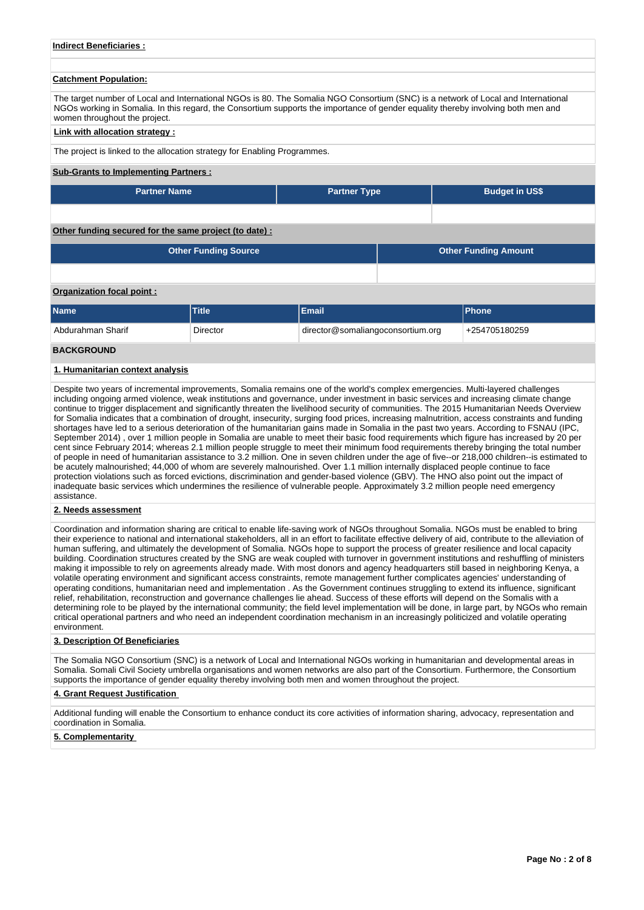## **Indirect Beneficiaries :**

#### **Catchment Population:**

The target number of Local and International NGOs is 80. The Somalia NGO Consortium (SNC) is a network of Local and International NGOs working in Somalia. In this regard, the Consortium supports the importance of gender equality thereby involving both men and women throughout the project.

#### **Link with allocation strategy :**

The project is linked to the allocation strategy for Enabling Programmes.

#### **Sub-Grants to Implementing Partners :**

| <b>Partner Name</b> | <b>Partner Type</b> | <b>Budget in US\$</b> |
|---------------------|---------------------|-----------------------|
|                     |                     |                       |

## **Other funding secured for the same project (to date) :**

|                           | <b>Other Funding Source</b> |    | <b>Other Funding Amount</b> |  |
|---------------------------|-----------------------------|----|-----------------------------|--|
|                           |                             |    |                             |  |
| Organization focal point: |                             |    |                             |  |
| - -                       |                             | -- | $-$                         |  |

| <b>Name</b>       | <b>Title</b> |                                   | <b>Phone</b>    |
|-------------------|--------------|-----------------------------------|-----------------|
| Abdurahman Sharif | Director     | director@somaliangoconsortium.org | $+254705180259$ |

## **BACKGROUND**

#### **1. Humanitarian context analysis**

Despite two years of incremental improvements, Somalia remains one of the world's complex emergencies. Multi-layered challenges including ongoing armed violence, weak institutions and governance, under investment in basic services and increasing climate change continue to trigger displacement and significantly threaten the livelihood security of communities. The 2015 Humanitarian Needs Overview for Somalia indicates that a combination of drought, insecurity, surging food prices, increasing malnutrition, access constraints and funding shortages have led to a serious deterioration of the humanitarian gains made in Somalia in the past two years. According to FSNAU (IPC, September 2014) , over 1 million people in Somalia are unable to meet their basic food requirements which figure has increased by 20 per cent since February 2014; whereas 2.1 million people struggle to meet their minimum food requirements thereby bringing the total number of people in need of humanitarian assistance to 3.2 million. One in seven children under the age of five--or 218,000 children--is estimated to be acutely malnourished; 44,000 of whom are severely malnourished. Over 1.1 million internally displaced people continue to face protection violations such as forced evictions, discrimination and gender-based violence (GBV). The HNO also point out the impact of inadequate basic services which undermines the resilience of vulnerable people. Approximately 3.2 million people need emergency assistance.

#### **2. Needs assessment**

Coordination and information sharing are critical to enable life-saving work of NGOs throughout Somalia. NGOs must be enabled to bring their experience to national and international stakeholders, all in an effort to facilitate effective delivery of aid, contribute to the alleviation of human suffering, and ultimately the development of Somalia. NGOs hope to support the process of greater resilience and local capacity building. Coordination structures created by the SNG are weak coupled with turnover in government institutions and reshuffling of ministers making it impossible to rely on agreements already made. With most donors and agency headquarters still based in neighboring Kenya, a volatile operating environment and significant access constraints, remote management further complicates agencies' understanding of operating conditions, humanitarian need and implementation . As the Government continues struggling to extend its influence, significant relief, rehabilitation, reconstruction and governance challenges lie ahead. Success of these efforts will depend on the Somalis with a determining role to be played by the international community; the field level implementation will be done, in large part, by NGOs who remain critical operational partners and who need an independent coordination mechanism in an increasingly politicized and volatile operating environment.

#### **3. Description Of Beneficiaries**

The Somalia NGO Consortium (SNC) is a network of Local and International NGOs working in humanitarian and developmental areas in Somalia. Somali Civil Society umbrella organisations and women networks are also part of the Consortium. Furthermore, the Consortium supports the importance of gender equality thereby involving both men and women throughout the project.

#### **4. Grant Request Justification**

Additional funding will enable the Consortium to enhance conduct its core activities of information sharing, advocacy, representation and coordination in Somalia.

#### **5. Complementarity**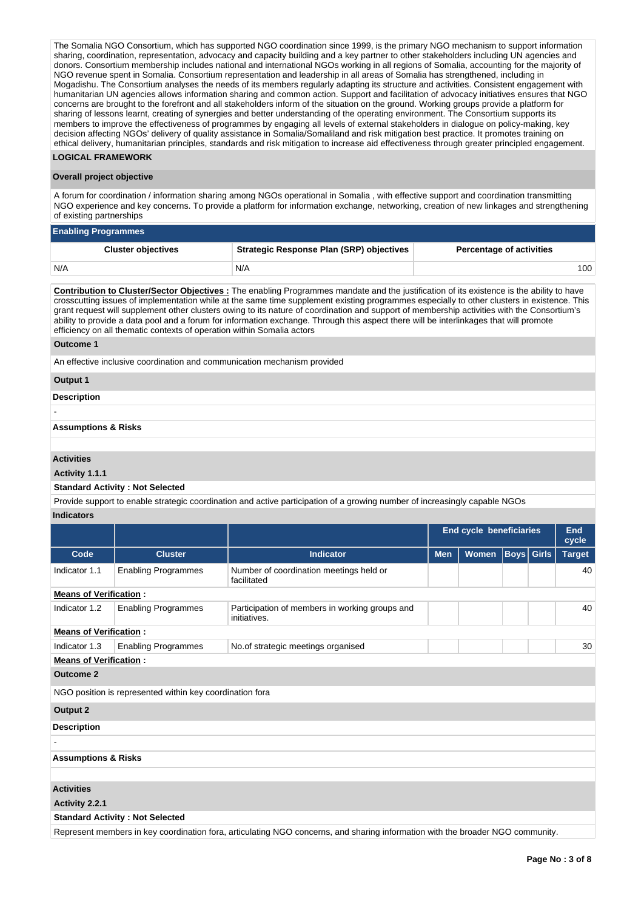The Somalia NGO Consortium, which has supported NGO coordination since 1999, is the primary NGO mechanism to support information sharing, coordination, representation, advocacy and capacity building and a key partner to other stakeholders including UN agencies and donors. Consortium membership includes national and international NGOs working in all regions of Somalia, accounting for the majority of NGO revenue spent in Somalia. Consortium representation and leadership in all areas of Somalia has strengthened, including in Mogadishu. The Consortium analyses the needs of its members regularly adapting its structure and activities. Consistent engagement with humanitarian UN agencies allows information sharing and common action. Support and facilitation of advocacy initiatives ensures that NGO concerns are brought to the forefront and all stakeholders inform of the situation on the ground. Working groups provide a platform for sharing of lessons learnt, creating of synergies and better understanding of the operating environment. The Consortium supports its members to improve the effectiveness of programmes by engaging all levels of external stakeholders in dialogue on policy-making, key decision affecting NGOs' delivery of quality assistance in Somalia/Somaliland and risk mitigation best practice. It promotes training on ethical delivery, humanitarian principles, standards and risk mitigation to increase aid effectiveness through greater principled engagement.

## **LOGICAL FRAMEWORK**

#### **Overall project objective**

A forum for coordination / information sharing among NGOs operational in Somalia , with effective support and coordination transmitting NGO experience and key concerns. To provide a platform for information exchange, networking, creation of new linkages and strengthening of existing partnerships

| <b>Enabling Programmes</b> |                                                 |                                 |  |  |  |  |  |  |
|----------------------------|-------------------------------------------------|---------------------------------|--|--|--|--|--|--|
| <b>Cluster objectives</b>  | <b>Strategic Response Plan (SRP) objectives</b> | <b>Percentage of activities</b> |  |  |  |  |  |  |
| N/A                        | N/A                                             | 100                             |  |  |  |  |  |  |

**Contribution to Cluster/Sector Objectives :** The enabling Programmes mandate and the justification of its existence is the ability to have crosscutting issues of implementation while at the same time supplement existing programmes especially to other clusters in existence. This grant request will supplement other clusters owing to its nature of coordination and support of membership activities with the Consortium's ability to provide a data pool and a forum for information exchange. Through this aspect there will be interlinkages that will promote efficiency on all thematic contexts of operation within Somalia actors

#### **Outcome 1**

An effective inclusive coordination and communication mechanism provided

#### **Output 1**

#### **Description**

-

## **Assumptions & Risks**

## **Activities**

#### **Activity 1.1.1**

#### **Standard Activity : Not Selected**

Provide support to enable strategic coordination and active participation of a growing number of increasingly capable NGOs **Indicators**

|                                |                                                                                                                                |                                                                | <b>End cycle beneficiaries</b>                  |  | End<br>cycle |  |               |  |  |
|--------------------------------|--------------------------------------------------------------------------------------------------------------------------------|----------------------------------------------------------------|-------------------------------------------------|--|--------------|--|---------------|--|--|
| Code                           | <b>Cluster</b>                                                                                                                 | <b>Indicator</b>                                               | <b>Boys</b> Girls<br><b>Women</b><br><b>Men</b> |  |              |  | <b>Target</b> |  |  |
| Indicator 1.1                  | <b>Enabling Programmes</b>                                                                                                     | Number of coordination meetings held or<br>facilitated         |                                                 |  |              |  | 40            |  |  |
| <b>Means of Verification:</b>  |                                                                                                                                |                                                                |                                                 |  |              |  |               |  |  |
| Indicator 1.2                  | <b>Enabling Programmes</b>                                                                                                     | Participation of members in working groups and<br>initiatives. |                                                 |  |              |  |               |  |  |
| <b>Means of Verification:</b>  |                                                                                                                                |                                                                |                                                 |  |              |  |               |  |  |
| Indicator 1.3                  | <b>Enabling Programmes</b>                                                                                                     | No.of strategic meetings organised                             |                                                 |  |              |  | 30            |  |  |
| <b>Means of Verification:</b>  |                                                                                                                                |                                                                |                                                 |  |              |  |               |  |  |
| <b>Outcome 2</b>               |                                                                                                                                |                                                                |                                                 |  |              |  |               |  |  |
|                                | NGO position is represented within key coordination fora                                                                       |                                                                |                                                 |  |              |  |               |  |  |
| <b>Output 2</b>                |                                                                                                                                |                                                                |                                                 |  |              |  |               |  |  |
| <b>Description</b>             |                                                                                                                                |                                                                |                                                 |  |              |  |               |  |  |
|                                |                                                                                                                                |                                                                |                                                 |  |              |  |               |  |  |
| <b>Assumptions &amp; Risks</b> |                                                                                                                                |                                                                |                                                 |  |              |  |               |  |  |
|                                |                                                                                                                                |                                                                |                                                 |  |              |  |               |  |  |
| <b>Activities</b>              |                                                                                                                                |                                                                |                                                 |  |              |  |               |  |  |
| Activity 2.2.1                 |                                                                                                                                |                                                                |                                                 |  |              |  |               |  |  |
|                                | <b>Standard Activity: Not Selected</b>                                                                                         |                                                                |                                                 |  |              |  |               |  |  |
|                                | Represent members in key coordination fora, articulating NGO concerns, and sharing information with the broader NGO community. |                                                                |                                                 |  |              |  |               |  |  |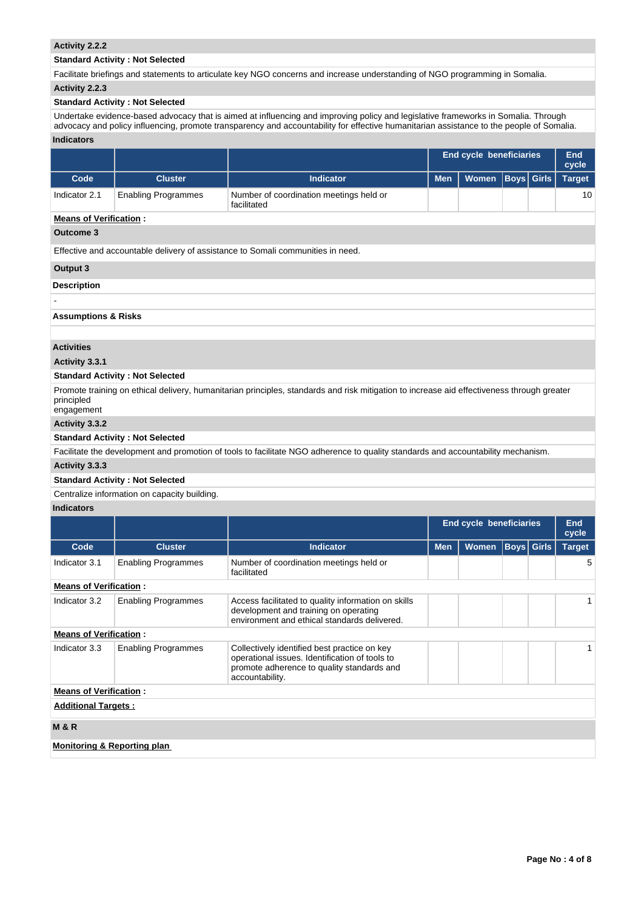## **Activity 2.2.2**

## **Standard Activity : Not Selected**

Facilitate briefings and statements to articulate key NGO concerns and increase understanding of NGO programming in Somalia.

## **Activity 2.2.3**

## **Standard Activity : Not Selected**

Undertake evidence-based advocacy that is aimed at influencing and improving policy and legislative frameworks in Somalia. Through advocacy and policy influencing, promote transparency and accountability for effective humanitarian assistance to the people of Somalia. **Indicators**

|               |                            |                                                        |            | <b>End cycle beneficiaries</b> |  |  |    |
|---------------|----------------------------|--------------------------------------------------------|------------|--------------------------------|--|--|----|
| Code          | <b>Cluster</b>             | <b>Indicator</b>                                       | <b>Men</b> | Women   Boys   Girls   Target  |  |  |    |
| Indicator 2.1 | <b>Enabling Programmes</b> | Number of coordination meetings held or<br>facilitated |            |                                |  |  | 10 |

## **Means of Verification :**

## **Outcome 3**

Effective and accountable delivery of assistance to Somali communities in need.

#### **Output 3**

-

## **Description**

**Assumptions & Risks**

#### **Activities**

## **Activity 3.3.1**

#### **Standard Activity : Not Selected**

Promote training on ethical delivery, humanitarian principles, standards and risk mitigation to increase aid effectiveness through greater principled engagement

# **Activity 3.3.2**

## **Standard Activity : Not Selected**

Facilitate the development and promotion of tools to facilitate NGO adherence to quality standards and accountability mechanism.

## **Activity 3.3.3**

#### **Standard Activity : Not Selected**

## Centralize information on capacity building.

## **Indicators**

|                                        |                            |                                                                                                                                                                 | End cycle beneficiaries                         |  | End<br>cycle |  |               |
|----------------------------------------|----------------------------|-----------------------------------------------------------------------------------------------------------------------------------------------------------------|-------------------------------------------------|--|--------------|--|---------------|
| Code                                   | <b>Cluster</b>             | <b>Indicator</b>                                                                                                                                                | <b>Boys Girls</b><br><b>Men</b><br><b>Women</b> |  |              |  | <b>Target</b> |
| Indicator 3.1                          | <b>Enabling Programmes</b> | Number of coordination meetings held or<br>facilitated                                                                                                          |                                                 |  |              |  | 5             |
| <b>Means of Verification:</b>          |                            |                                                                                                                                                                 |                                                 |  |              |  |               |
| Indicator 3.2                          | <b>Enabling Programmes</b> | Access facilitated to quality information on skills<br>development and training on operating<br>environment and ethical standards delivered.                    |                                                 |  |              |  |               |
| <b>Means of Verification:</b>          |                            |                                                                                                                                                                 |                                                 |  |              |  |               |
| Indicator 3.3                          | <b>Enabling Programmes</b> | Collectively identified best practice on key<br>operational issues. Identification of tools to<br>promote adherence to quality standards and<br>accountability. |                                                 |  |              |  |               |
| <b>Means of Verification:</b>          |                            |                                                                                                                                                                 |                                                 |  |              |  |               |
| <b>Additional Targets:</b>             |                            |                                                                                                                                                                 |                                                 |  |              |  |               |
| <b>M&amp;R</b>                         |                            |                                                                                                                                                                 |                                                 |  |              |  |               |
| <b>Monitoring &amp; Reporting plan</b> |                            |                                                                                                                                                                 |                                                 |  |              |  |               |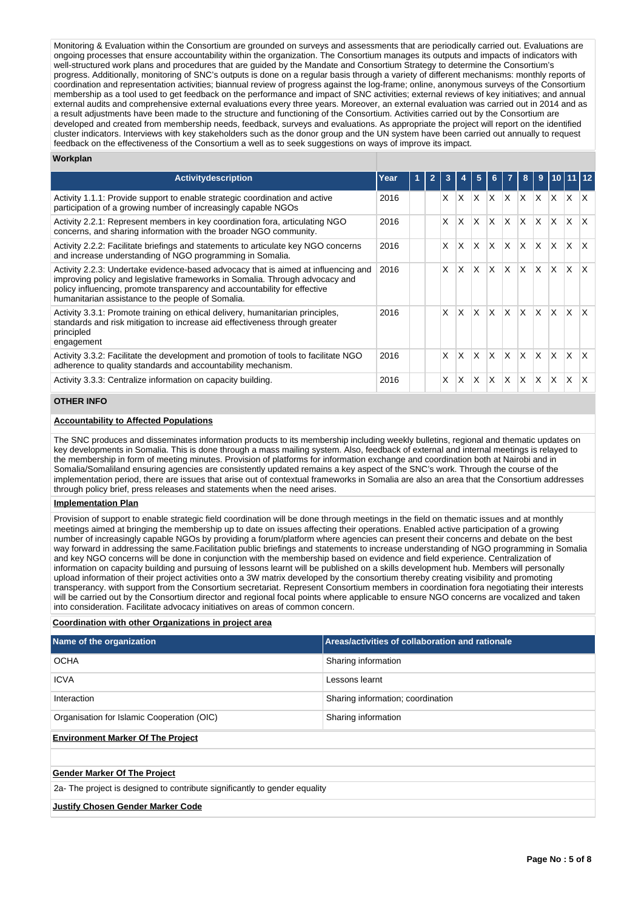Monitoring & Evaluation within the Consortium are grounded on surveys and assessments that are periodically carried out. Evaluations are ongoing processes that ensure accountability within the organization. The Consortium manages its outputs and impacts of indicators with well-structured work plans and procedures that are guided by the Mandate and Consortium Strategy to determine the Consortium's progress. Additionally, monitoring of SNC's outputs is done on a regular basis through a variety of different mechanisms: monthly reports of coordination and representation activities; biannual review of progress against the log-frame; online, anonymous surveys of the Consortium membership as a tool used to get feedback on the performance and impact of SNC activities; external reviews of key initiatives; and annual external audits and comprehensive external evaluations every three years. Moreover, an external evaluation was carried out in 2014 and as a result adjustments have been made to the structure and functioning of the Consortium. Activities carried out by the Consortium are developed and created from membership needs, feedback, surveys and evaluations. As appropriate the project will report on the identified cluster indicators. Interviews with key stakeholders such as the donor group and the UN system have been carried out annually to request feedback on the effectiveness of the Consortium a well as to seek suggestions on ways of improve its impact.

#### **Workplan**

| <b>Activity description</b>                                                                                                                                                                                                                                                                          | Year |  |    |              |              |              |              | 8        | 9        |          |          |    |
|------------------------------------------------------------------------------------------------------------------------------------------------------------------------------------------------------------------------------------------------------------------------------------------------------|------|--|----|--------------|--------------|--------------|--------------|----------|----------|----------|----------|----|
| Activity 1.1.1: Provide support to enable strategic coordination and active<br>participation of a growing number of increasingly capable NGOs                                                                                                                                                        | 2016 |  | X. | $\mathsf{x}$ | X            | $\mathsf{X}$ | $\mathsf{X}$ | lx.      | ΙX.      | X        | $\times$ | X. |
| Activity 2.2.1: Represent members in key coordination fora, articulating NGO<br>concerns, and sharing information with the broader NGO community.                                                                                                                                                    | 2016 |  | X  | X            | X            | $\mathsf{X}$ | X.           | X.       | $\times$ | <b>X</b> | X        | X  |
| Activity 2.2.2: Facilitate briefings and statements to articulate key NGO concerns<br>and increase understanding of NGO programming in Somalia.                                                                                                                                                      | 2016 |  | X  | X            | X            | <sup>X</sup> | ΙX.          | X.       | X.       | X.       | X        | X  |
| Activity 2.2.3: Undertake evidence-based advocacy that is aimed at influencing and<br>improving policy and legislative frameworks in Somalia. Through advocacy and<br>policy influencing, promote transparency and accountability for effective<br>humanitarian assistance to the people of Somalia. | 2016 |  | X  | X            | X            | X            | X.           | X        | X        | X        | X        | x  |
| Activity 3.3.1: Promote training on ethical delivery, humanitarian principles,<br>standards and risk mitigation to increase aid effectiveness through greater<br>principled<br>engagement                                                                                                            | 2016 |  | X  | X            | $\mathsf{x}$ | $\mathsf{x}$ | $\mathsf{X}$ | <b>X</b> | <b>X</b> | <b>X</b> | $\times$ | X  |
| Activity 3.3.2: Facilitate the development and promotion of tools to facilitate NGO<br>adherence to quality standards and accountability mechanism.                                                                                                                                                  | 2016 |  | X  | X            | $\mathsf{x}$ | ΙX.          | X.           | X.       | X        | <b>X</b> | X        | X  |
| Activity 3.3.3: Centralize information on capacity building.                                                                                                                                                                                                                                         | 2016 |  | X  | X            | X            | $\mathsf{X}$ | X            | X        | X        | $\times$ | X        |    |

## **OTHER INFO**

## **Accountability to Affected Populations**

The SNC produces and disseminates information products to its membership including weekly bulletins, regional and thematic updates on key developments in Somalia. This is done through a mass mailing system. Also, feedback of external and internal meetings is relayed to the membership in form of meeting minutes. Provision of platforms for information exchange and coordination both at Nairobi and in Somalia/Somaliland ensuring agencies are consistently updated remains a key aspect of the SNC's work. Through the course of the implementation period, there are issues that arise out of contextual frameworks in Somalia are also an area that the Consortium addresses through policy brief, press releases and statements when the need arises.

#### **Implementation Plan**

Provision of support to enable strategic field coordination will be done through meetings in the field on thematic issues and at monthly meetings aimed at bringing the membership up to date on issues affecting their operations. Enabled active participation of a growing number of increasingly capable NGOs by providing a forum/platform where agencies can present their concerns and debate on the best way forward in addressing the same.Facilitation public briefings and statements to increase understanding of NGO programming in Somalia and key NGO concerns will be done in conjunction with the membership based on evidence and field experience. Centralization of information on capacity building and pursuing of lessons learnt will be published on a skills development hub. Members will personally upload information of their project activities onto a 3W matrix developed by the consortium thereby creating visibility and promoting transperancy. with support from the Consortium secretariat. Represent Consortium members in coordination fora negotiating their interests will be carried out by the Consortium director and regional focal points where applicable to ensure NGO concerns are vocalized and taken into consideration. Facilitate advocacy initiatives on areas of common concern.

#### **Coordination with other Organizations in project area**

| Name of the organization                                                   | Areas/activities of collaboration and rationale |  |  |  |  |  |  |
|----------------------------------------------------------------------------|-------------------------------------------------|--|--|--|--|--|--|
| <b>OCHA</b>                                                                | Sharing information                             |  |  |  |  |  |  |
| <b>ICVA</b>                                                                | Lessons learnt                                  |  |  |  |  |  |  |
| Interaction                                                                | Sharing information; coordination               |  |  |  |  |  |  |
| Organisation for Islamic Cooperation (OIC)                                 | Sharing information                             |  |  |  |  |  |  |
| <b>Environment Marker Of The Project</b>                                   |                                                 |  |  |  |  |  |  |
|                                                                            |                                                 |  |  |  |  |  |  |
| <b>Gender Marker Of The Project</b>                                        |                                                 |  |  |  |  |  |  |
| 2a- The project is designed to contribute significantly to gender equality |                                                 |  |  |  |  |  |  |
| <b>Justify Chosen Gender Marker Code</b>                                   |                                                 |  |  |  |  |  |  |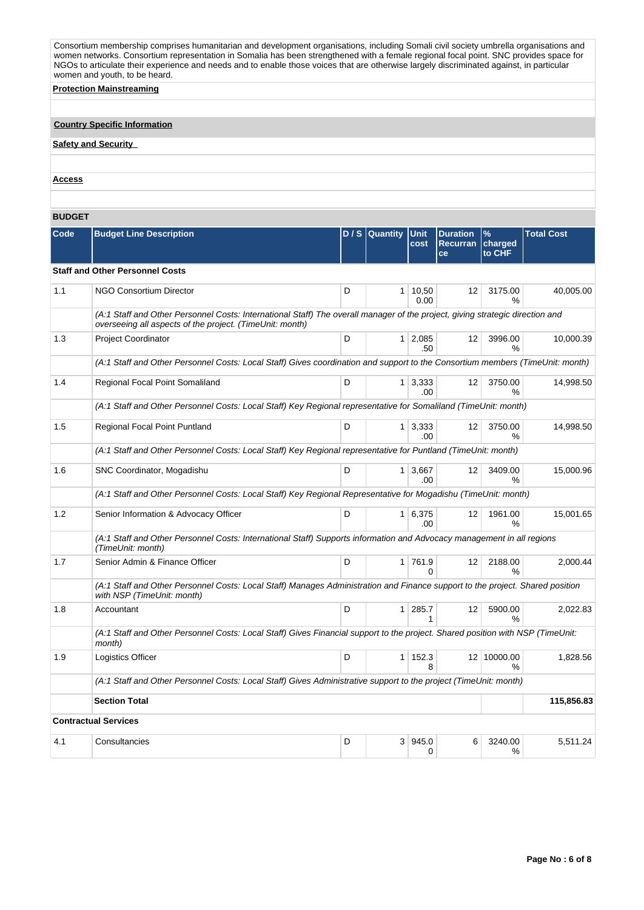Consortium membership comprises humanitarian and development organisations, including Somali civil society umbrella organisations and women networks. Consortium representation in Somalia has been strengthened with a female regional focal point. SNC provides space for NGOs to articulate their experience and needs and to enable those voices that are otherwise largely discriminated against, in particular women and youth, to be heard.

**Protection Mainstreaming**

## **Country Specific Information**

**Safety and Security** 

#### **Access**

#### **BUDGET**

| Code | <b>Budget Line Description</b>                                                                                                                                                            |   | D / S Quantity | <b>Unit</b><br>cost   | <b>Duration</b><br><b>Recurran</b><br>ce | %<br>charged<br>to CHF | <b>Total Cost</b> |  |  |  |  |  |  |
|------|-------------------------------------------------------------------------------------------------------------------------------------------------------------------------------------------|---|----------------|-----------------------|------------------------------------------|------------------------|-------------------|--|--|--|--|--|--|
|      | <b>Staff and Other Personnel Costs</b>                                                                                                                                                    |   |                |                       |                                          |                        |                   |  |  |  |  |  |  |
| 1.1  | <b>NGO Consortium Director</b>                                                                                                                                                            | D | 1 <sup>1</sup> | 10,50<br>0.00         | 12                                       | 3175.00<br>℅           | 40,005.00         |  |  |  |  |  |  |
|      | (A:1 Staff and Other Personnel Costs: International Staff) The overall manager of the project, giving strategic direction and<br>overseeing all aspects of the project. (TimeUnit: month) |   |                |                       |                                          |                        |                   |  |  |  |  |  |  |
| 1.3  | <b>Project Coordinator</b>                                                                                                                                                                | D |                | $1 \mid 2,085$<br>.50 | 12                                       | 3996.00<br>℅           | 10,000.39         |  |  |  |  |  |  |
|      | (A:1 Staff and Other Personnel Costs: Local Staff) Gives coordination and support to the Consortium members (TimeUnit: month)                                                             |   |                |                       |                                          |                        |                   |  |  |  |  |  |  |
| 1.4  | Regional Focal Point Somaliland                                                                                                                                                           | D |                | $1 \mid 3,333$<br>.00 | 12                                       | 3750.00<br>%           | 14,998.50         |  |  |  |  |  |  |
|      | (A:1 Staff and Other Personnel Costs: Local Staff) Key Regional representative for Somaliland (TimeUnit: month)                                                                           |   |                |                       |                                          |                        |                   |  |  |  |  |  |  |
| 1.5  | Regional Focal Point Puntland                                                                                                                                                             | D | 1 <sup>1</sup> | 3,333<br>.00          | 12                                       | 3750.00<br>%           | 14,998.50         |  |  |  |  |  |  |
|      | (A:1 Staff and Other Personnel Costs: Local Staff) Key Regional representative for Puntland (TimeUnit: month)                                                                             |   |                |                       |                                          |                        |                   |  |  |  |  |  |  |
| 1.6  | SNC Coordinator, Mogadishu                                                                                                                                                                | D | 1              | 3.667<br>.00.         | 12                                       | 3409.00<br>%           | 15.000.96         |  |  |  |  |  |  |
|      | (A:1 Staff and Other Personnel Costs: Local Staff) Key Regional Representative for Mogadishu (TimeUnit: month)                                                                            |   |                |                       |                                          |                        |                   |  |  |  |  |  |  |
| 1.2  | Senior Information & Advocacy Officer                                                                                                                                                     | D | 1 <sup>1</sup> | 6,375<br>.00.         | 12                                       | 1961.00<br>%           | 15,001.65         |  |  |  |  |  |  |
|      | (A:1 Staff and Other Personnel Costs: International Staff) Supports information and Advocacy management in all regions<br>(TimeUnit: month)                                               |   |                |                       |                                          |                        |                   |  |  |  |  |  |  |
| 1.7  | Senior Admin & Finance Officer                                                                                                                                                            | D |                | 1 761.9<br>$\Omega$   | 12                                       | 2188.00<br>%           | 2,000.44          |  |  |  |  |  |  |
|      | (A:1 Staff and Other Personnel Costs: Local Staff) Manages Administration and Finance support to the project. Shared position<br>with NSP (TimeUnit: month)                               |   |                |                       |                                          |                        |                   |  |  |  |  |  |  |
| 1.8  | Accountant                                                                                                                                                                                | D | 1 <sup>1</sup> | 285.7                 | 12                                       | 5900.00<br>$\%$        | 2,022.83          |  |  |  |  |  |  |
|      | (A:1 Staff and Other Personnel Costs: Local Staff) Gives Financial support to the project. Shared position with NSP (TimeUnit:<br>month)                                                  |   |                |                       |                                          |                        |                   |  |  |  |  |  |  |
| 1.9  | Logistics Officer                                                                                                                                                                         | D |                | 1 152.3<br>8          |                                          | 12 10000.00<br>%       | 1,828.56          |  |  |  |  |  |  |
|      | (A:1 Staff and Other Personnel Costs: Local Staff) Gives Administrative support to the project (TimeUnit: month)                                                                          |   |                |                       |                                          |                        |                   |  |  |  |  |  |  |
|      | <b>Section Total</b><br>115,856.83                                                                                                                                                        |   |                |                       |                                          |                        |                   |  |  |  |  |  |  |
|      | <b>Contractual Services</b>                                                                                                                                                               |   |                |                       |                                          |                        |                   |  |  |  |  |  |  |
| 4.1  | Consultancies                                                                                                                                                                             | D |                | 3 945.0<br>0          | 6                                        | 3240.00<br>%           | 5,511.24          |  |  |  |  |  |  |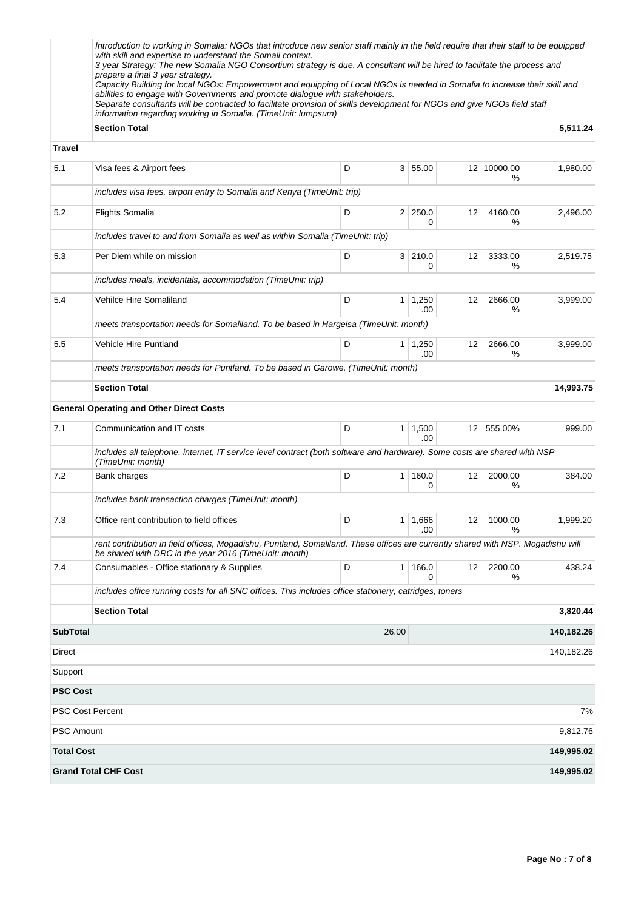|                   | Introduction to working in Somalia: NGOs that introduce new senior staff mainly in the field require that their staff to be equipped<br>with skill and expertise to understand the Somali context.<br>3 year Strategy: The new Somalia NGO Consortium strategy is due. A consultant will be hired to facilitate the process and<br>prepare a final 3 year strategy.<br>Capacity Building for local NGOs: Empowerment and equipping of Local NGOs is needed in Somalia to increase their skill and<br>abilities to engage with Governments and promote dialogue with stakeholders.<br>Separate consultants will be contracted to facilitate provision of skills development for NGOs and give NGOs field staff<br>information regarding working in Somalia. (TimeUnit: lumpsum) |   |                |                       |    |                  |            |
|-------------------|--------------------------------------------------------------------------------------------------------------------------------------------------------------------------------------------------------------------------------------------------------------------------------------------------------------------------------------------------------------------------------------------------------------------------------------------------------------------------------------------------------------------------------------------------------------------------------------------------------------------------------------------------------------------------------------------------------------------------------------------------------------------------------|---|----------------|-----------------------|----|------------------|------------|
|                   | <b>Section Total</b>                                                                                                                                                                                                                                                                                                                                                                                                                                                                                                                                                                                                                                                                                                                                                           |   |                |                       |    |                  | 5,511.24   |
| Travel            |                                                                                                                                                                                                                                                                                                                                                                                                                                                                                                                                                                                                                                                                                                                                                                                |   |                |                       |    |                  |            |
| 5.1               | Visa fees & Airport fees                                                                                                                                                                                                                                                                                                                                                                                                                                                                                                                                                                                                                                                                                                                                                       | D |                | 3   55.00             |    | 12 10000.00<br>℅ | 1,980.00   |
|                   | includes visa fees, airport entry to Somalia and Kenya (TimeUnit: trip)                                                                                                                                                                                                                                                                                                                                                                                                                                                                                                                                                                                                                                                                                                        |   |                |                       |    |                  |            |
| 5.2               | <b>Flights Somalia</b>                                                                                                                                                                                                                                                                                                                                                                                                                                                                                                                                                                                                                                                                                                                                                         | D |                | 2 250.0<br>0          | 12 | 4160.00<br>%     | 2,496.00   |
|                   | includes travel to and from Somalia as well as within Somalia (TimeUnit: trip)                                                                                                                                                                                                                                                                                                                                                                                                                                                                                                                                                                                                                                                                                                 |   |                |                       |    |                  |            |
| 5.3               | Per Diem while on mission                                                                                                                                                                                                                                                                                                                                                                                                                                                                                                                                                                                                                                                                                                                                                      | D |                | 3 210.0<br>0          | 12 | 3333.00<br>%     | 2,519.75   |
|                   | includes meals, incidentals, accommodation (TimeUnit: trip)                                                                                                                                                                                                                                                                                                                                                                                                                                                                                                                                                                                                                                                                                                                    |   |                |                       |    |                  |            |
| 5.4               | Vehilce Hire Somaliland                                                                                                                                                                                                                                                                                                                                                                                                                                                                                                                                                                                                                                                                                                                                                        | D | 1.             | 1,250<br>.00          | 12 | 2666.00<br>%     | 3,999.00   |
|                   | meets transportation needs for Somaliland. To be based in Hargeisa (TimeUnit: month)                                                                                                                                                                                                                                                                                                                                                                                                                                                                                                                                                                                                                                                                                           |   |                |                       |    |                  |            |
| 5.5               | <b>Vehicle Hire Puntland</b>                                                                                                                                                                                                                                                                                                                                                                                                                                                                                                                                                                                                                                                                                                                                                   | D | 1 <sup>1</sup> | 1,250<br>.00          | 12 | 2666.00<br>%     | 3,999.00   |
|                   | meets transportation needs for Puntland. To be based in Garowe. (TimeUnit: month)                                                                                                                                                                                                                                                                                                                                                                                                                                                                                                                                                                                                                                                                                              |   |                |                       |    |                  |            |
|                   | <b>Section Total</b>                                                                                                                                                                                                                                                                                                                                                                                                                                                                                                                                                                                                                                                                                                                                                           |   |                |                       |    |                  | 14,993.75  |
|                   | <b>General Operating and Other Direct Costs</b>                                                                                                                                                                                                                                                                                                                                                                                                                                                                                                                                                                                                                                                                                                                                |   |                |                       |    |                  |            |
| 7.1               | Communication and IT costs                                                                                                                                                                                                                                                                                                                                                                                                                                                                                                                                                                                                                                                                                                                                                     | D | 1 <sup>1</sup> | 1,500<br>.00          | 12 | 555.00%          | 999.00     |
|                   | includes all telephone, internet, IT service level contract (both software and hardware). Some costs are shared with NSP<br>(TimeUnit: month)                                                                                                                                                                                                                                                                                                                                                                                                                                                                                                                                                                                                                                  |   |                |                       |    |                  |            |
| 7.2               | Bank charges                                                                                                                                                                                                                                                                                                                                                                                                                                                                                                                                                                                                                                                                                                                                                                   | D | 1              | 160.0<br>0            | 12 | 2000.00<br>%     | 384.00     |
|                   | includes bank transaction charges (TimeUnit: month)                                                                                                                                                                                                                                                                                                                                                                                                                                                                                                                                                                                                                                                                                                                            |   |                |                       |    |                  |            |
| 7.3               | Office rent contribution to field offices                                                                                                                                                                                                                                                                                                                                                                                                                                                                                                                                                                                                                                                                                                                                      | D |                | $1 \mid 1,666$<br>.00 | 12 | 1000.00<br>%     | 1,999.20   |
|                   | rent contribution in field offices, Mogadishu, Puntland, Somaliland. These offices are currently shared with NSP. Mogadishu will<br>be shared with DRC in the year 2016 (TimeUnit: month)                                                                                                                                                                                                                                                                                                                                                                                                                                                                                                                                                                                      |   |                |                       |    |                  |            |
| 7.4               | Consumables - Office stationary & Supplies                                                                                                                                                                                                                                                                                                                                                                                                                                                                                                                                                                                                                                                                                                                                     | D | 1              | 166.0<br>0            | 12 | 2200.00<br>%     | 438.24     |
|                   | includes office running costs for all SNC offices. This includes office stationery, catridges, toners                                                                                                                                                                                                                                                                                                                                                                                                                                                                                                                                                                                                                                                                          |   |                |                       |    |                  |            |
|                   | <b>Section Total</b>                                                                                                                                                                                                                                                                                                                                                                                                                                                                                                                                                                                                                                                                                                                                                           |   |                |                       |    |                  | 3,820.44   |
| <b>SubTotal</b>   |                                                                                                                                                                                                                                                                                                                                                                                                                                                                                                                                                                                                                                                                                                                                                                                |   | 26.00          |                       |    |                  | 140,182.26 |
| Direct            |                                                                                                                                                                                                                                                                                                                                                                                                                                                                                                                                                                                                                                                                                                                                                                                |   |                |                       |    |                  | 140,182.26 |
| Support           |                                                                                                                                                                                                                                                                                                                                                                                                                                                                                                                                                                                                                                                                                                                                                                                |   |                |                       |    |                  |            |
| <b>PSC Cost</b>   |                                                                                                                                                                                                                                                                                                                                                                                                                                                                                                                                                                                                                                                                                                                                                                                |   |                |                       |    |                  |            |
|                   | PSC Cost Percent                                                                                                                                                                                                                                                                                                                                                                                                                                                                                                                                                                                                                                                                                                                                                               |   |                |                       |    |                  | 7%         |
| <b>PSC Amount</b> |                                                                                                                                                                                                                                                                                                                                                                                                                                                                                                                                                                                                                                                                                                                                                                                |   |                |                       |    |                  | 9,812.76   |
| <b>Total Cost</b> |                                                                                                                                                                                                                                                                                                                                                                                                                                                                                                                                                                                                                                                                                                                                                                                |   |                |                       |    |                  | 149,995.02 |
|                   | <b>Grand Total CHF Cost</b>                                                                                                                                                                                                                                                                                                                                                                                                                                                                                                                                                                                                                                                                                                                                                    |   |                |                       |    |                  | 149,995.02 |